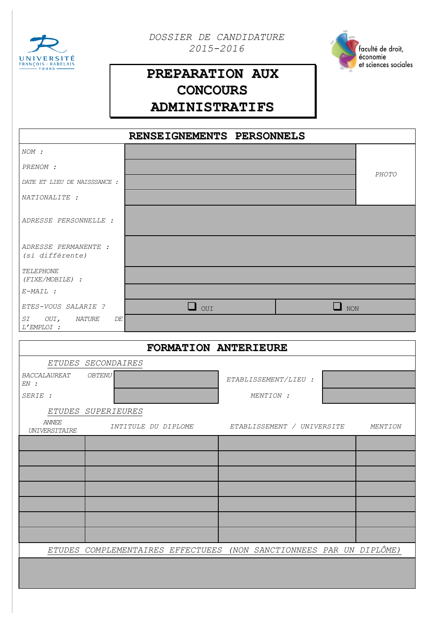

*DOSSIER DE CANDIDATURE 2015-2016*



## **PREPARATION AUX CONCOURS ADMINISTRATIFS**

| RENSEIGNEMENTS PERSONNELS                                           |                     |                      |                            |  |         |
|---------------------------------------------------------------------|---------------------|----------------------|----------------------------|--|---------|
| NOM :                                                               |                     |                      |                            |  |         |
| PRENOM :                                                            |                     |                      |                            |  |         |
| DATE ET LIEU DE NAISSSANCE :                                        |                     |                      |                            |  | PHOTO   |
| NATIONALITE :                                                       |                     |                      |                            |  |         |
| ADRESSE PERSONNELLE :                                               |                     |                      |                            |  |         |
| ADRESSE PERMANENTE :<br>(si différente)                             |                     |                      |                            |  |         |
| TELEPHONE<br>$(FIXE/MOBILE)$ :                                      |                     |                      |                            |  |         |
| $E-MAIL$ :                                                          |                     |                      |                            |  |         |
| ETES-VOUS SALARIE ?                                                 | $\Box$ our          | $\Box$ NON           |                            |  |         |
| $\cal{SI}$<br>OUI, NATURE<br>DE<br>L'EMPLOI :                       |                     |                      |                            |  |         |
| FORMATION ANTERIEURE                                                |                     |                      |                            |  |         |
| ETUDES SECONDAIRES                                                  |                     |                      |                            |  |         |
| BACCALAUREAT<br>OBTENU                                              |                     |                      |                            |  |         |
| EN:                                                                 |                     | ETABLISSEMENT/LIEU : |                            |  |         |
| SERIE :                                                             |                     | MENTION :            |                            |  |         |
| ETUDES SUPERIEURES<br>ANNEE                                         |                     |                      |                            |  |         |
| <b>UNIVERSITAIRE</b>                                                | INTITULE DU DIPLOME |                      | ETABLISSEMENT / UNIVERSITE |  | MENTION |
|                                                                     |                     |                      |                            |  |         |
|                                                                     |                     |                      |                            |  |         |
|                                                                     |                     |                      |                            |  |         |
|                                                                     |                     |                      |                            |  |         |
|                                                                     |                     |                      |                            |  |         |
|                                                                     |                     |                      |                            |  |         |
|                                                                     |                     |                      |                            |  |         |
| ETUDES COMPLEMENTAIRES EFFECTUEES (NON SANCTIONNEES PAR UN DIPLÔME) |                     |                      |                            |  |         |
|                                                                     |                     |                      |                            |  |         |
|                                                                     |                     |                      |                            |  |         |
|                                                                     |                     |                      |                            |  |         |